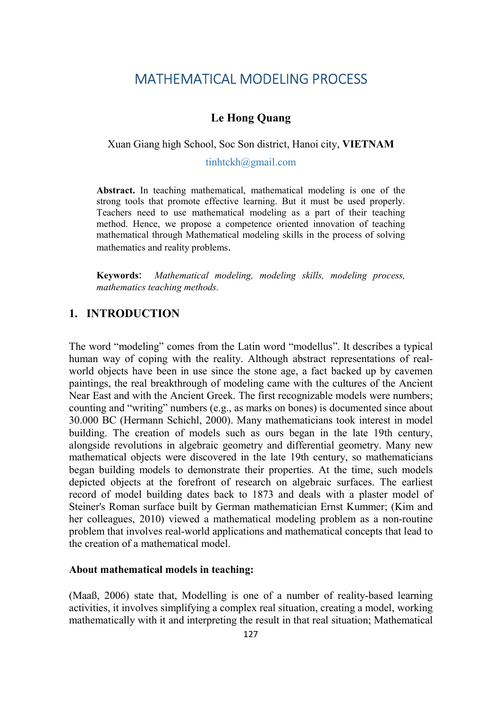## MATHEMATICAL MODELING PROCESS

## Le Hong Quang

Xuan Giang high School, Soc Son district, Hanoi city, VIETNAM

tinhtckh@gmail.com

Abstract. In teaching mathematical, mathematical modeling is one of the strong tools that promote effective learning. But it must be used properly. Teachers need to use mathematical modeling as a part of their teaching method. Hence, we propose a competence oriented innovation of teaching mathematical through Mathematical modeling skills in the process of solving mathematics and reality problems.

Keywords: Mathematical modeling, modeling skills, modeling process, mathematics teaching methods.

## 1. INTRODUCTION

The word "modeling" comes from the Latin word "modellus". It describes a typical human way of coping with the reality. Although abstract representations of realworld objects have been in use since the stone age, a fact backed up by cavemen paintings, the real breakthrough of modeling came with the cultures of the Ancient Near East and with the Ancient Greek. The first recognizable models were numbers; counting and "writing" numbers (e.g., as marks on bones) is documented since about 30.000 BC (Hermann Schichl, 2000). Many mathematicians took interest in model building. The creation of models such as ours began in the late 19th century, alongside revolutions in algebraic geometry and differential geometry. Many new mathematical objects were discovered in the late 19th century, so mathematicians began building models to demonstrate their properties. At the time, such models depicted objects at the forefront of research on algebraic surfaces. The earliest record of model building dates back to 1873 and deals with a plaster model of Steiner's Roman surface built by German mathematician Ernst Kummer; (Kim and her colleagues, 2010) viewed a mathematical modeling problem as a non-routine problem that involves real-world applications and mathematical concepts that lead to the creation of a mathematical model.

#### About mathematical models in teaching:

(Maaß, 2006) state that, Modelling is one of a number of reality-based learning activities, it involves simplifying a complex real situation, creating a model, working mathematically with it and interpreting the result in that real situation; Mathematical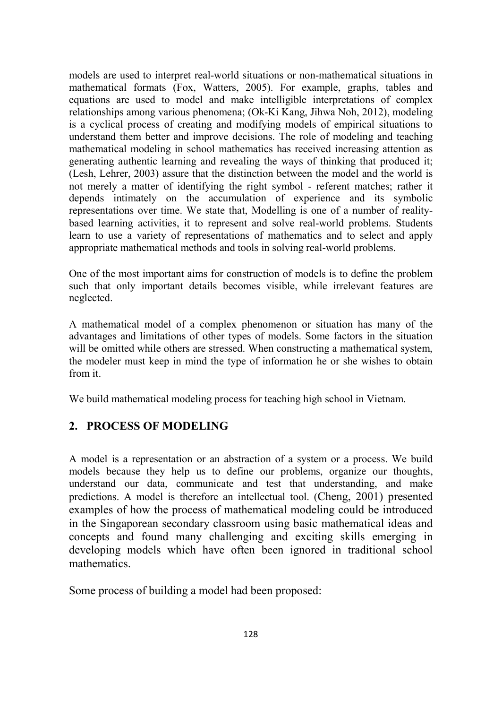models are used to interpret real-world situations or non-mathematical situations in mathematical formats (Fox, Watters, 2005). For example, graphs, tables and equations are used to model and make intelligible interpretations of complex relationships among various phenomena; (Ok-Ki Kang, Jihwa Noh, 2012), modeling is a cyclical process of creating and modifying models of empirical situations to understand them better and improve decisions. The role of modeling and teaching mathematical modeling in school mathematics has received increasing attention as generating authentic learning and revealing the ways of thinking that produced it; (Lesh, Lehrer, 2003) assure that the distinction between the model and the world is not merely a matter of identifying the right symbol - referent matches; rather it depends intimately on the accumulation of experience and its symbolic representations over time. We state that, Modelling is one of a number of realitybased learning activities, it to represent and solve real-world problems. Students learn to use a variety of representations of mathematics and to select and apply appropriate mathematical methods and tools in solving real-world problems.

One of the most important aims for construction of models is to define the problem such that only important details becomes visible, while irrelevant features are neglected.

A mathematical model of a complex phenomenon or situation has many of the advantages and limitations of other types of models. Some factors in the situation will be omitted while others are stressed. When constructing a mathematical system, the modeler must keep in mind the type of information he or she wishes to obtain from it.

We build mathematical modeling process for teaching high school in Vietnam.

## 2. PROCESS OF MODELING

A model is a representation or an abstraction of a system or a process. We build models because they help us to define our problems, organize our thoughts, understand our data, communicate and test that understanding, and make predictions. A model is therefore an intellectual tool. (Cheng, 2001) presented examples of how the process of mathematical modeling could be introduced in the Singaporean secondary classroom using basic mathematical ideas and concepts and found many challenging and exciting skills emerging in developing models which have often been ignored in traditional school mathematics.

Some process of building a model had been proposed: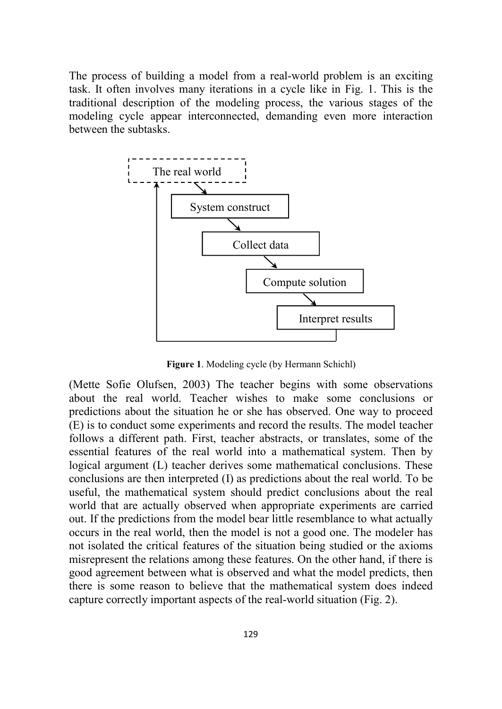The process of building a model from a real-world problem is an exciting task. It often involves many iterations in a cycle like in Fig. 1. This is the traditional description of the modeling process, the various stages of the modeling cycle appear interconnected, demanding even more interaction between the subtasks.



Figure 1. Modeling cycle (by Hermann Schichl)

(Mette Sofie Olufsen, 2003) The teacher begins with some observations about the real world. Teacher wishes to make some conclusions or predictions about the situation he or she has observed. One way to proceed (E) is to conduct some experiments and record the results. The model teacher follows a different path. First, teacher abstracts, or translates, some of the essential features of the real world into a mathematical system. Then by logical argument (L) teacher derives some mathematical conclusions. These conclusions are then interpreted (I) as predictions about the real world. To be useful, the mathematical system should predict conclusions about the real world that are actually observed when appropriate experiments are carried out. If the predictions from the model bear little resemblance to what actually occurs in the real world, then the model is not a good one. The modeler has not isolated the critical features of the situation being studied or the axioms misrepresent the relations among these features. On the other hand, if there is good agreement between what is observed and what the model predicts, then there is some reason to believe that the mathematical system does indeed capture correctly important aspects of the real-world situation (Fig. 2).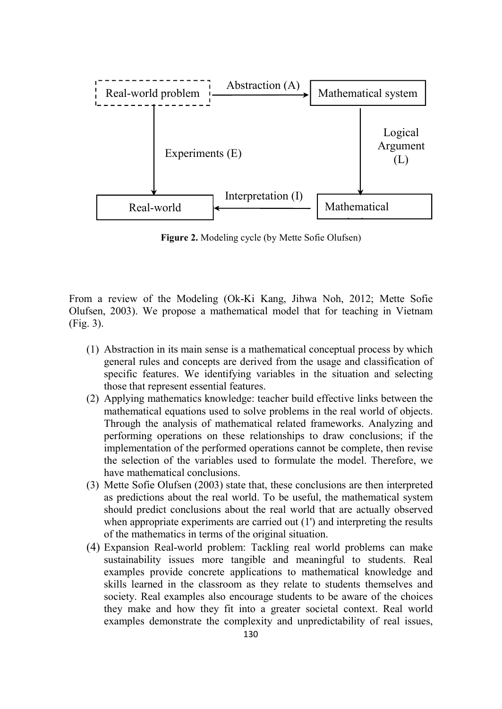

Figure 2. Modeling cycle (by Mette Sofie Olufsen)

From a review of the Modeling (Ok-Ki Kang, Jihwa Noh, 2012; Mette Sofie Olufsen, 2003). We propose a mathematical model that for teaching in Vietnam (Fig. 3).

- (1) Abstraction in its main sense is a mathematical conceptual process by which general rules and concepts are derived from the usage and classification of specific features. We identifying variables in the situation and selecting those that represent essential features.
- (2) Applying mathematics knowledge: teacher build effective links between the mathematical equations used to solve problems in the real world of objects. Through the analysis of mathematical related frameworks. Analyzing and performing operations on these relationships to draw conclusions; if the implementation of the performed operations cannot be complete, then revise the selection of the variables used to formulate the model. Therefore, we have mathematical conclusions.
- (3) Mette Sofie Olufsen (2003) state that, these conclusions are then interpreted as predictions about the real world. To be useful, the mathematical system should predict conclusions about the real world that are actually observed when appropriate experiments are carried out (1') and interpreting the results of the mathematics in terms of the original situation.
- (4) Expansion Real-world problem: Tackling real world problems can make sustainability issues more tangible and meaningful to students. Real examples provide concrete applications to mathematical knowledge and skills learned in the classroom as they relate to students themselves and society. Real examples also encourage students to be aware of the choices they make and how they fit into a greater societal context. Real world examples demonstrate the complexity and unpredictability of real issues,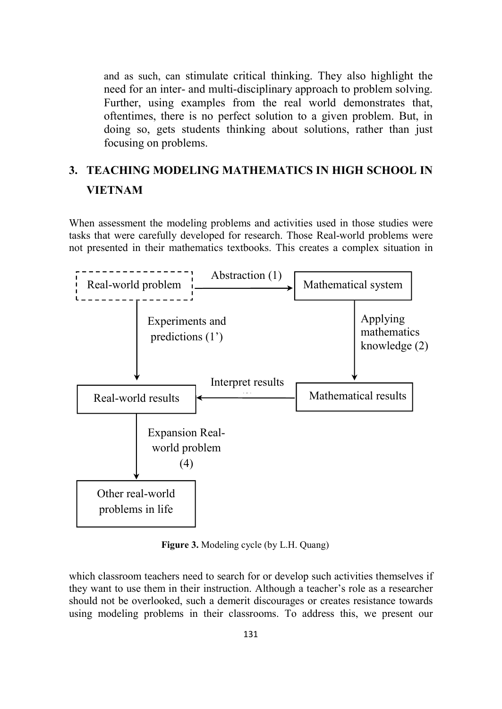and as such, can stimulate critical thinking. They also highlight the need for an inter- and multi-disciplinary approach to problem solving. Further, using examples from the real world demonstrates that, oftentimes, there is no perfect solution to a given problem. But, in doing so, gets students thinking about solutions, rather than just focusing on problems.

# 3. TEACHING MODELING MATHEMATICS IN HIGH SCHOOL IN VIETNAM

When assessment the modeling problems and activities used in those studies were tasks that were carefully developed for research. Those Real-world problems were not presented in their mathematics textbooks. This creates a complex situation in



Figure 3. Modeling cycle (by L.H. Quang)

which classroom teachers need to search for or develop such activities themselves if they want to use them in their instruction. Although a teacher's role as a researcher should not be overlooked, such a demerit discourages or creates resistance towards using modeling problems in their classrooms. To address this, we present our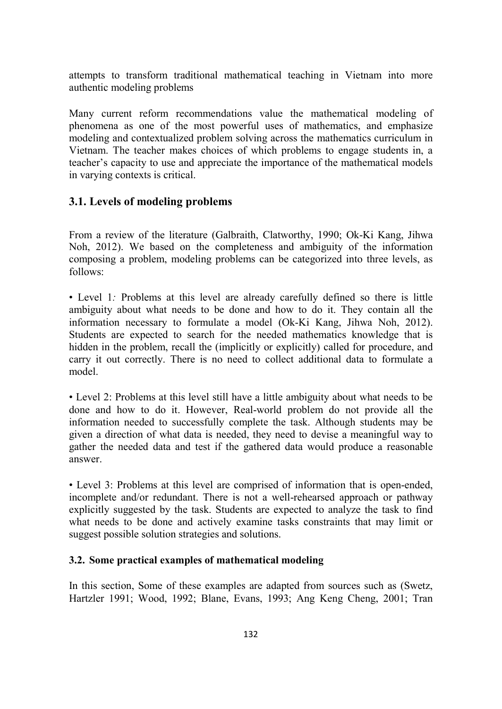attempts to transform traditional mathematical teaching in Vietnam into more authentic modeling problems

Many current reform recommendations value the mathematical modeling of phenomena as one of the most powerful uses of mathematics, and emphasize modeling and contextualized problem solving across the mathematics curriculum in Vietnam. The teacher makes choices of which problems to engage students in, a teacher's capacity to use and appreciate the importance of the mathematical models in varying contexts is critical.

## 3.1. Levels of modeling problems

From a review of the literature (Galbraith, Clatworthy, 1990; Ok-Ki Kang, Jihwa Noh, 2012). We based on the completeness and ambiguity of the information composing a problem, modeling problems can be categorized into three levels, as follows:

• Level 1: Problems at this level are already carefully defined so there is little ambiguity about what needs to be done and how to do it. They contain all the information necessary to formulate a model (Ok-Ki Kang, Jihwa Noh, 2012). Students are expected to search for the needed mathematics knowledge that is hidden in the problem, recall the (implicitly or explicitly) called for procedure, and carry it out correctly. There is no need to collect additional data to formulate a model.

• Level 2: Problems at this level still have a little ambiguity about what needs to be done and how to do it. However, Real-world problem do not provide all the information needed to successfully complete the task. Although students may be given a direction of what data is needed, they need to devise a meaningful way to gather the needed data and test if the gathered data would produce a reasonable answer.

• Level 3: Problems at this level are comprised of information that is open-ended, incomplete and/or redundant. There is not a well-rehearsed approach or pathway explicitly suggested by the task. Students are expected to analyze the task to find what needs to be done and actively examine tasks constraints that may limit or suggest possible solution strategies and solutions.

#### 3.2. Some practical examples of mathematical modeling

In this section, Some of these examples are adapted from sources such as (Swetz, Hartzler 1991; Wood, 1992; Blane, Evans, 1993; Ang Keng Cheng, 2001; Tran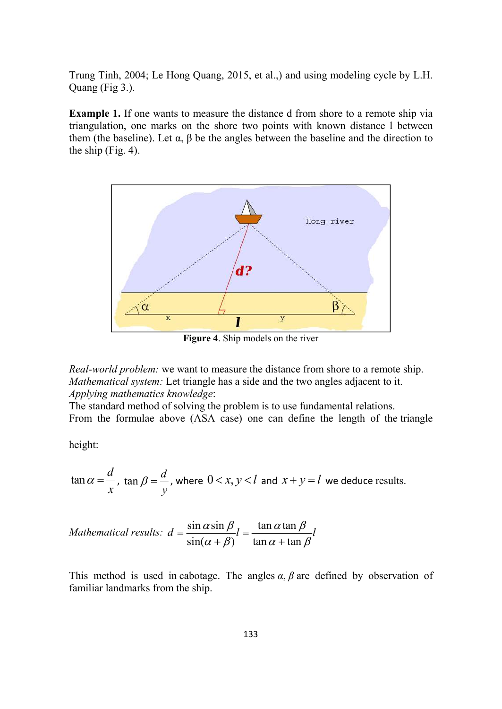Trung Tinh, 2004; Le Hong Quang, 2015, et al.,) and using modeling cycle by L.H. Quang (Fig 3.).

Example 1. If one wants to measure the distance d from shore to a remote ship via triangulation, one marks on the shore two points with known distance l between them (the baseline). Let  $\alpha$ ,  $\beta$  be the angles between the baseline and the direction to the ship (Fig. 4).



Figure 4. Ship models on the river

Real-world problem: we want to measure the distance from shore to a remote ship. Mathematical system: Let triangle has a side and the two angles adjacent to it. Applying mathematics knowledge:

The standard method of solving the problem is to use fundamental relations. From the formulae above (ASA case) one can define the length of the triangle

height:

$$
\tan \alpha = \frac{d}{x}
$$
,  $\tan \beta = \frac{d}{y}$ , where  $0 < x, y < l$  and  $x + y = l$  we deduce results.

Mathematical results:  $d = \frac{\sin \alpha \sin \beta}{\sin \alpha \sin \beta} l = \frac{\tan \alpha \tan \beta}{\sin \alpha \sin \beta}$  $\frac{\sin(\alpha+\beta)}{\sin \alpha + \tan \alpha}$  $d = \frac{\sin \alpha \sin \beta}{\alpha} l = \frac{\tan \alpha \tan \beta}{\alpha} l$  $\overline{(\alpha+\beta)}^l$   $\overline{\tan\alpha+\tan\beta}^l$  $=\frac{\sin \alpha \sin \beta}{l}l= \overline{+ \beta)}^l$   $\overline{\tan \alpha + t \alpha}$ 

This method is used in cabotage. The angles  $\alpha$ ,  $\beta$  are defined by observation of familiar landmarks from the ship.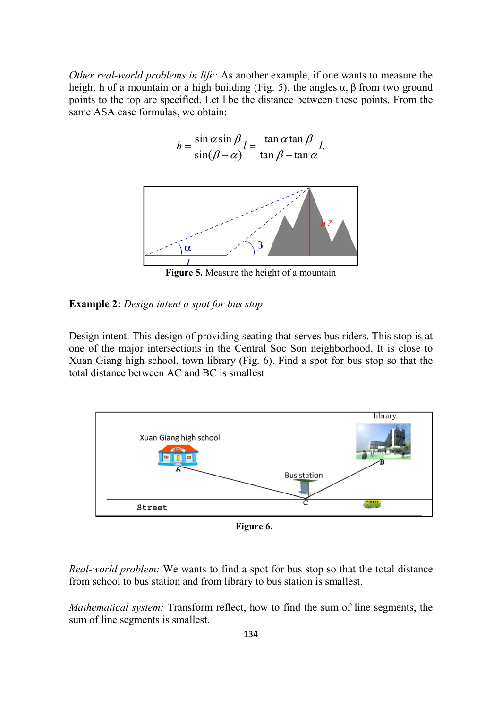Other real-world problems in life: As another example, if one wants to measure the height h of a mountain or a high building (Fig. 5), the angles  $\alpha$ ,  $\beta$  from two ground points to the top are specified. Let l be the distance between these points. From the same ASA case formulas, we obtain:

$$
h = \frac{\sin \alpha \sin \beta}{\sin(\beta - \alpha)} l = \frac{\tan \alpha \tan \beta}{\tan \beta - \tan \alpha} l.
$$



Figure 5. Measure the height of a mountain

#### Example 2: Design intent a spot for bus stop

Design intent: This design of providing seating that serves bus riders. This stop is at one of the major intersections in the Central Soc Son neighborhood. It is close to Xuan Giang high school, town library (Fig. 6). Find a spot for bus stop so that the total distance between AC and BC is smallest



Figure 6.

Real-world problem: We wants to find a spot for bus stop so that the total distance from school to bus station and from library to bus station is smallest.

Mathematical system: Transform reflect, how to find the sum of line segments, the sum of line segments is smallest.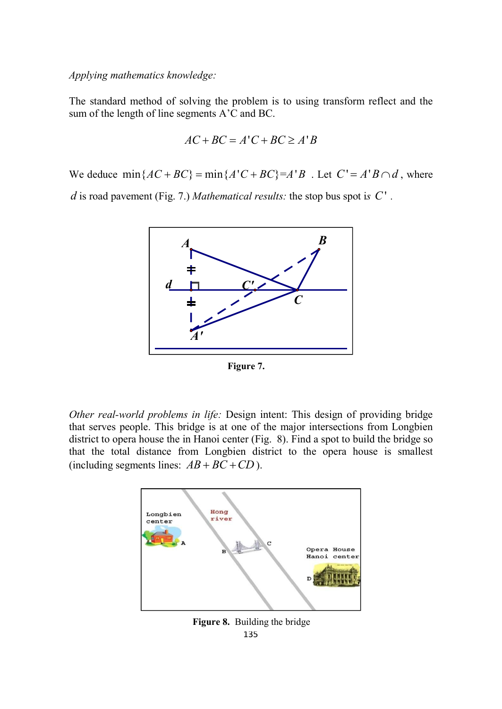Applying mathematics knowledge:

The standard method of solving the problem is to using transform reflect and the sum of the length of line segments A'C and BC.

$$
AC + BC = A'C + BC \ge A'B
$$

We deduce  $min\{AC + BC\} = min\{A'C + BC\} = A'B$ . Let  $C' = A'B \cap d$ , where

d is road pavement (Fig. 7.) Mathematical results: the stop bus spot is  $C'$ .



Figure 7.

Other real-world problems in life: Design intent: This design of providing bridge that serves people. This bridge is at one of the major intersections from Longbien district to opera house the in Hanoi center (Fig. 8). Find a spot to build the bridge so that the total distance from Longbien district to the opera house is smallest (including segments lines:  $AB + BC + CD$ ).



135 Figure 8. Building the bridge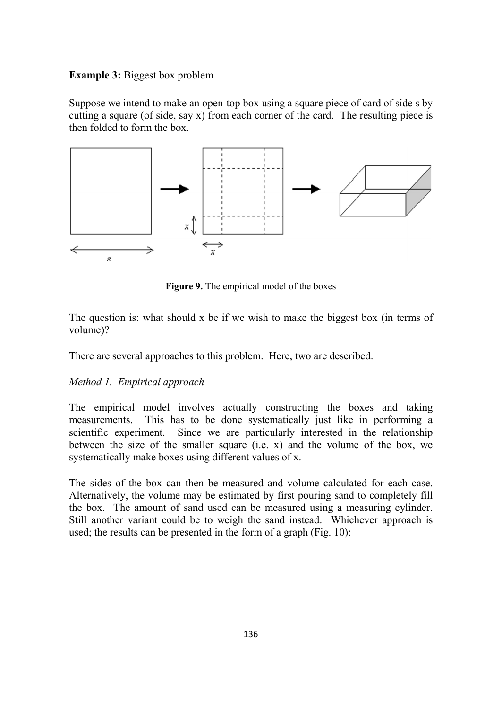### Example 3: Biggest box problem

Suppose we intend to make an open-top box using a square piece of card of side s by cutting a square (of side, say  $x$ ) from each corner of the card. The resulting piece is then folded to form the box.



Figure 9. The empirical model of the boxes

The question is: what should x be if we wish to make the biggest box (in terms of volume)?

There are several approaches to this problem. Here, two are described.

## Method 1. Empirical approach

The empirical model involves actually constructing the boxes and taking measurements. This has to be done systematically just like in performing a scientific experiment. Since we are particularly interested in the relationship between the size of the smaller square  $(i.e. x)$  and the volume of the box, we systematically make boxes using different values of x.

The sides of the box can then be measured and volume calculated for each case. Alternatively, the volume may be estimated by first pouring sand to completely fill the box. The amount of sand used can be measured using a measuring cylinder. Still another variant could be to weigh the sand instead. Whichever approach is used; the results can be presented in the form of a graph (Fig. 10):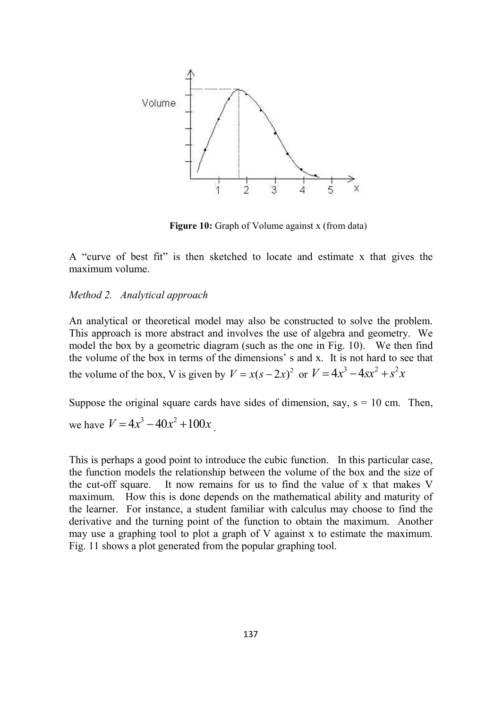

Figure 10: Graph of Volume against x (from data)

A "curve of best fit" is then sketched to locate and estimate x that gives the maximum volume.

#### Method 2. Analytical approach

An analytical or theoretical model may also be constructed to solve the problem. This approach is more abstract and involves the use of algebra and geometry. We model the box by a geometric diagram (such as the one in Fig. 10). We then find the volume of the box in terms of the dimensions' s and x. It is not hard to see that the volume of the box, V is given by  $V = x(s-2x)^2$  or  $V = 4x^3 - 4sx^2 + s^2x$ 

Suppose the original square cards have sides of dimension, say,  $s = 10$  cm. Then, we have  $V = 4x^3 - 40x^2 + 100x$ 

This is perhaps a good point to introduce the cubic function. In this particular case, the function models the relationship between the volume of the box and the size of the cut-off square. It now remains for us to find the value of x that makes V maximum. How this is done depends on the mathematical ability and maturity of the learner. For instance, a student familiar with calculus may choose to find the derivative and the turning point of the function to obtain the maximum. Another may use a graphing tool to plot a graph of V against x to estimate the maximum. Fig. 11 shows a plot generated from the popular graphing tool.